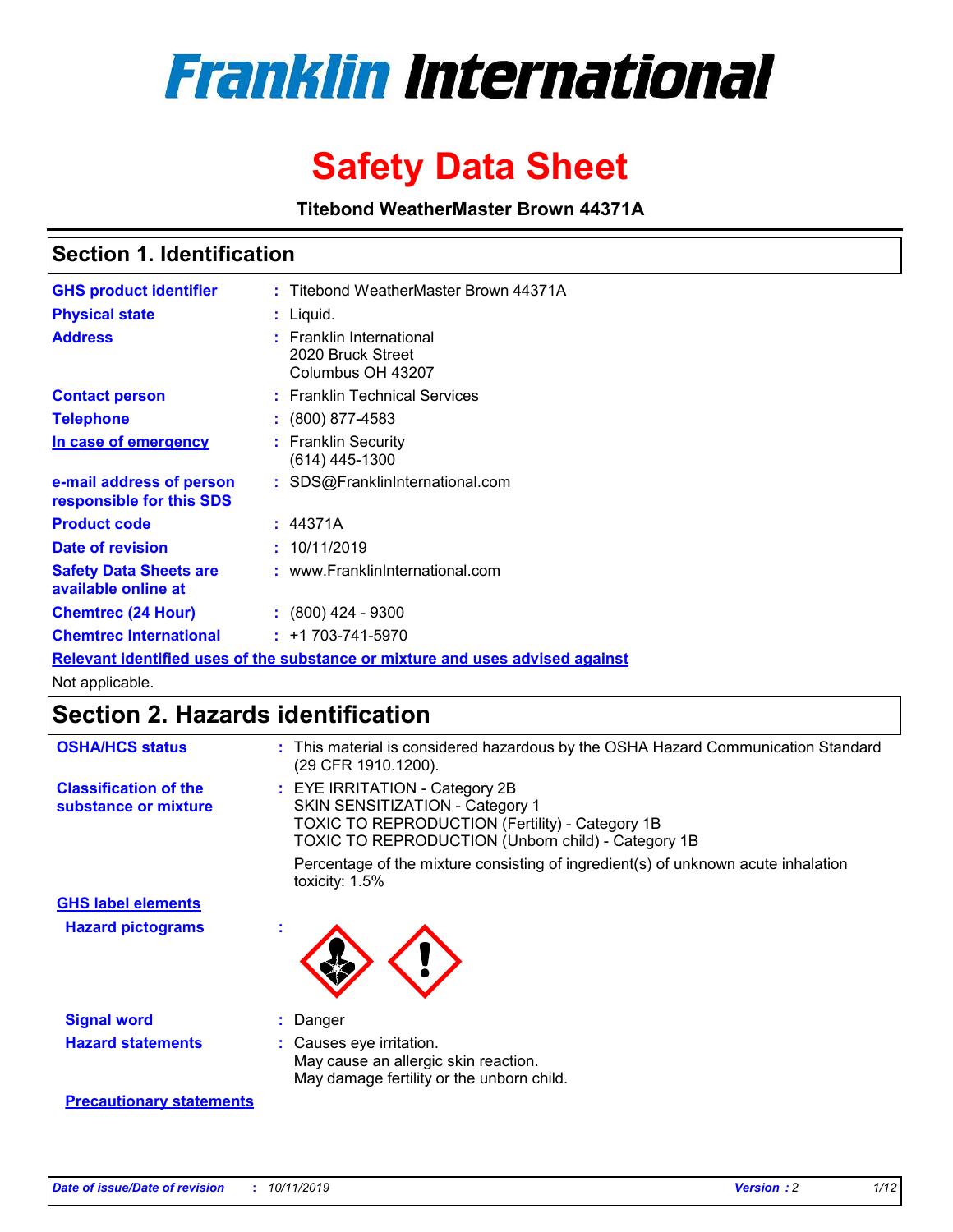

# **Safety Data Sheet**

**Titebond WeatherMaster Brown 44371A**

### **Section 1. Identification**

| <b>GHS product identifier</b>                        | : Titebond WeatherMaster Brown 44371A                                         |
|------------------------------------------------------|-------------------------------------------------------------------------------|
| <b>Physical state</b>                                | : Liquid.                                                                     |
| <b>Address</b>                                       | <b>Franklin International</b><br>2020 Bruck Street<br>Columbus OH 43207       |
| <b>Contact person</b>                                | : Franklin Technical Services                                                 |
| <b>Telephone</b>                                     | $\colon$ (800) 877-4583                                                       |
| In case of emergency                                 | : Franklin Security<br>(614) 445-1300                                         |
| e-mail address of person<br>responsible for this SDS | : SDS@FranklinInternational.com                                               |
| <b>Product code</b>                                  | : 44371A                                                                      |
| Date of revision                                     | : 10/11/2019                                                                  |
| <b>Safety Data Sheets are</b><br>available online at | : www.FranklinInternational.com                                               |
| <b>Chemtrec (24 Hour)</b>                            | $\div$ (800) 424 - 9300                                                       |
| <b>Chemtrec International</b>                        | $: +1703 - 741 - 5970$                                                        |
|                                                      | Relevant identified uses of the substance or mixture and uses advised against |

Not applicable.

## **Section 2. Hazards identification**

| <b>OSHA/HCS status</b>                               | : This material is considered hazardous by the OSHA Hazard Communication Standard<br>(29 CFR 1910.1200).                                                                                 |
|------------------------------------------------------|------------------------------------------------------------------------------------------------------------------------------------------------------------------------------------------|
| <b>Classification of the</b><br>substance or mixture | : EYE IRRITATION - Category 2B<br>SKIN SENSITIZATION - Category 1<br><b>TOXIC TO REPRODUCTION (Fertility) - Category 1B</b><br><b>TOXIC TO REPRODUCTION (Unborn child) - Category 1B</b> |
|                                                      | Percentage of the mixture consisting of ingredient(s) of unknown acute inhalation<br>toxicity: $1.5\%$                                                                                   |
| <b>GHS label elements</b>                            |                                                                                                                                                                                          |
| <b>Hazard pictograms</b>                             |                                                                                                                                                                                          |
| <b>Signal word</b>                                   | : Danger                                                                                                                                                                                 |
| <b>Hazard statements</b>                             | : Causes eye irritation.<br>May cause an allergic skin reaction.<br>May damage fertility or the unborn child.                                                                            |
| <b>Precautionary statements</b>                      |                                                                                                                                                                                          |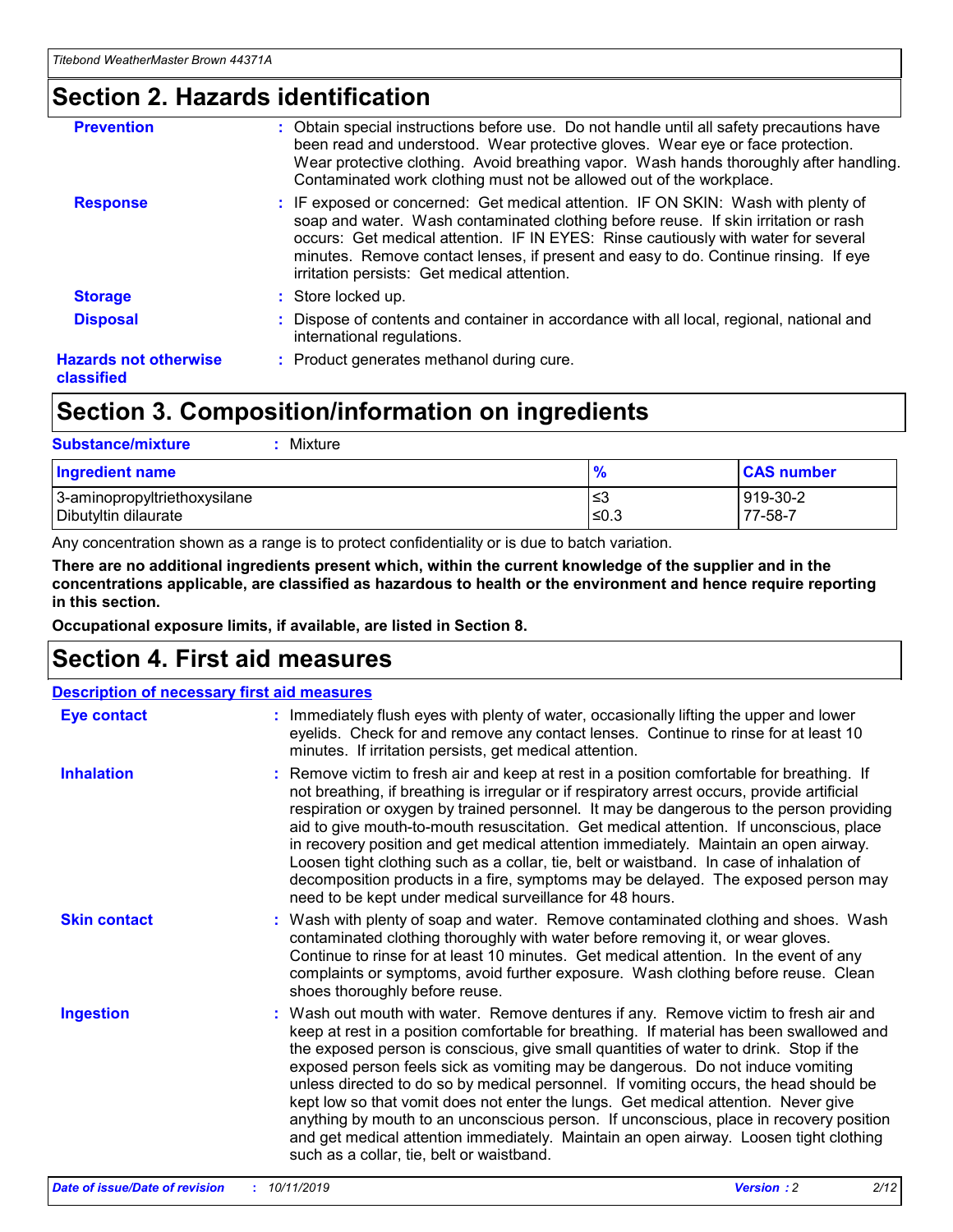### **Section 2. Hazards identification**

| <b>Prevention</b>                          | : Obtain special instructions before use. Do not handle until all safety precautions have<br>been read and understood. Wear protective gloves. Wear eye or face protection.<br>Wear protective clothing. Avoid breathing vapor. Wash hands thoroughly after handling.<br>Contaminated work clothing must not be allowed out of the workplace.                                                        |
|--------------------------------------------|------------------------------------------------------------------------------------------------------------------------------------------------------------------------------------------------------------------------------------------------------------------------------------------------------------------------------------------------------------------------------------------------------|
| <b>Response</b>                            | : IF exposed or concerned: Get medical attention. IF ON SKIN: Wash with plenty of<br>soap and water. Wash contaminated clothing before reuse. If skin irritation or rash<br>occurs: Get medical attention. IF IN EYES: Rinse cautiously with water for several<br>minutes. Remove contact lenses, if present and easy to do. Continue rinsing. If eye<br>irritation persists: Get medical attention. |
| <b>Storage</b>                             | : Store locked up.                                                                                                                                                                                                                                                                                                                                                                                   |
| <b>Disposal</b>                            | : Dispose of contents and container in accordance with all local, regional, national and<br>international regulations.                                                                                                                                                                                                                                                                               |
| <b>Hazards not otherwise</b><br>classified | : Product generates methanol during cure.                                                                                                                                                                                                                                                                                                                                                            |

### **Section 3. Composition/information on ingredients**

| <b>Substance/mixture</b><br>Mixture                  |                   |                     |
|------------------------------------------------------|-------------------|---------------------|
| <b>Ingredient name</b>                               | $\frac{9}{6}$     | <b>CAS number</b>   |
| 3-aminopropyltriethoxysilane<br>Dibutyltin dilaurate | l≤3<br>$\leq 0.3$ | 919-30-2<br>77-58-7 |

Any concentration shown as a range is to protect confidentiality or is due to batch variation.

**There are no additional ingredients present which, within the current knowledge of the supplier and in the concentrations applicable, are classified as hazardous to health or the environment and hence require reporting in this section.**

**Occupational exposure limits, if available, are listed in Section 8.**

### **Section 4. First aid measures**

| <b>Description of necessary first aid measures</b> |                                                                                                                                                                                                                                                                                                                                                                                                                                                                                                                                                                                                                                                                                                                                                                           |  |  |  |
|----------------------------------------------------|---------------------------------------------------------------------------------------------------------------------------------------------------------------------------------------------------------------------------------------------------------------------------------------------------------------------------------------------------------------------------------------------------------------------------------------------------------------------------------------------------------------------------------------------------------------------------------------------------------------------------------------------------------------------------------------------------------------------------------------------------------------------------|--|--|--|
| <b>Eye contact</b>                                 | : Immediately flush eyes with plenty of water, occasionally lifting the upper and lower<br>eyelids. Check for and remove any contact lenses. Continue to rinse for at least 10<br>minutes. If irritation persists, get medical attention.                                                                                                                                                                                                                                                                                                                                                                                                                                                                                                                                 |  |  |  |
| <b>Inhalation</b>                                  | : Remove victim to fresh air and keep at rest in a position comfortable for breathing. If<br>not breathing, if breathing is irregular or if respiratory arrest occurs, provide artificial<br>respiration or oxygen by trained personnel. It may be dangerous to the person providing<br>aid to give mouth-to-mouth resuscitation. Get medical attention. If unconscious, place<br>in recovery position and get medical attention immediately. Maintain an open airway.<br>Loosen tight clothing such as a collar, tie, belt or waistband. In case of inhalation of<br>decomposition products in a fire, symptoms may be delayed. The exposed person may<br>need to be kept under medical surveillance for 48 hours.                                                       |  |  |  |
| <b>Skin contact</b>                                | : Wash with plenty of soap and water. Remove contaminated clothing and shoes. Wash<br>contaminated clothing thoroughly with water before removing it, or wear gloves.<br>Continue to rinse for at least 10 minutes. Get medical attention. In the event of any<br>complaints or symptoms, avoid further exposure. Wash clothing before reuse. Clean<br>shoes thoroughly before reuse.                                                                                                                                                                                                                                                                                                                                                                                     |  |  |  |
| <b>Ingestion</b>                                   | : Wash out mouth with water. Remove dentures if any. Remove victim to fresh air and<br>keep at rest in a position comfortable for breathing. If material has been swallowed and<br>the exposed person is conscious, give small quantities of water to drink. Stop if the<br>exposed person feels sick as vomiting may be dangerous. Do not induce vomiting<br>unless directed to do so by medical personnel. If vomiting occurs, the head should be<br>kept low so that vomit does not enter the lungs. Get medical attention. Never give<br>anything by mouth to an unconscious person. If unconscious, place in recovery position<br>and get medical attention immediately. Maintain an open airway. Loosen tight clothing<br>such as a collar, tie, belt or waistband. |  |  |  |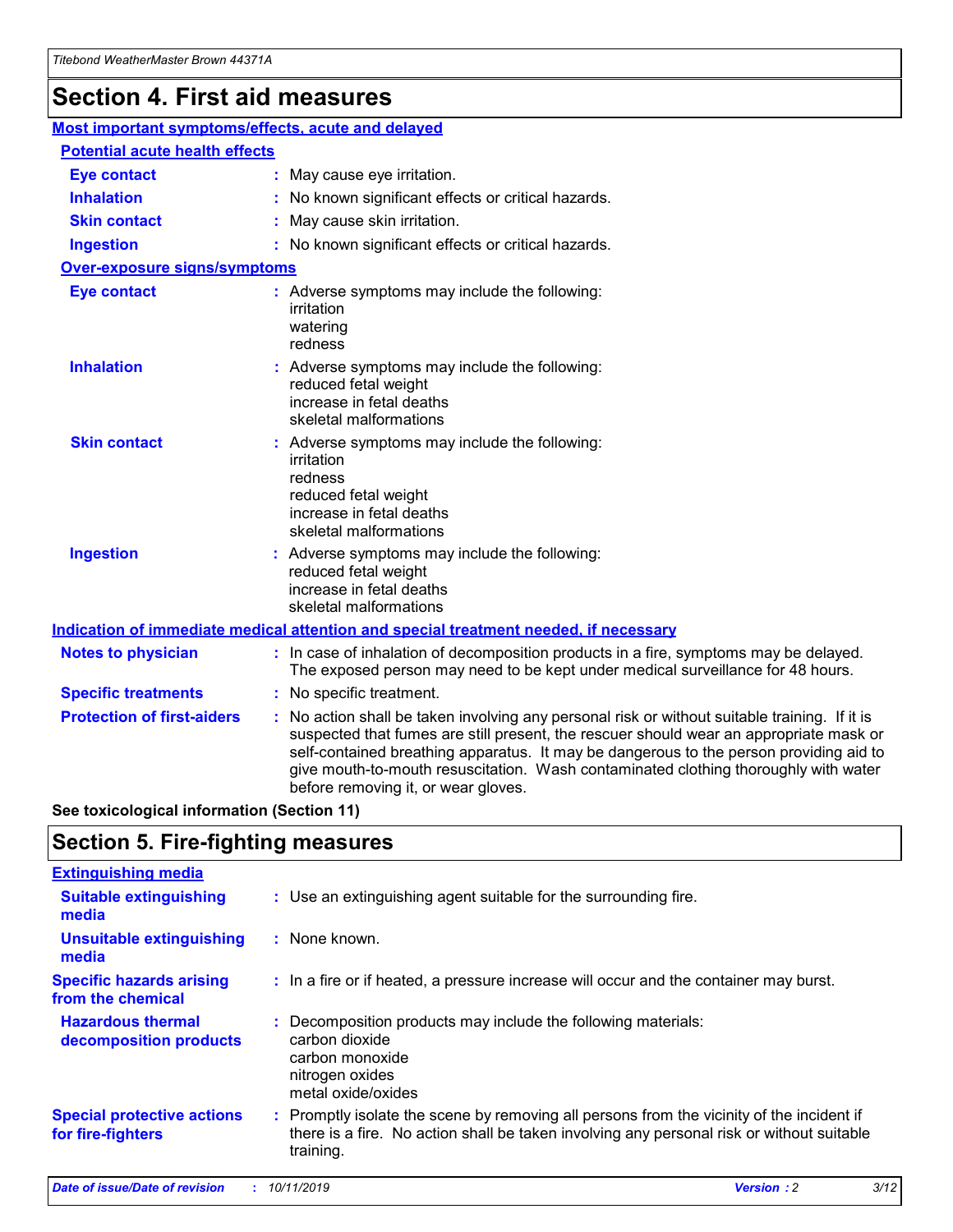## **Section 4. First aid measures**

| Most important symptoms/effects, acute and delayed |  |                                                                                                                                                                                                                                                                                                                                                                                                                 |  |
|----------------------------------------------------|--|-----------------------------------------------------------------------------------------------------------------------------------------------------------------------------------------------------------------------------------------------------------------------------------------------------------------------------------------------------------------------------------------------------------------|--|
| <b>Potential acute health effects</b>              |  |                                                                                                                                                                                                                                                                                                                                                                                                                 |  |
| <b>Eye contact</b>                                 |  | : May cause eye irritation.                                                                                                                                                                                                                                                                                                                                                                                     |  |
| <b>Inhalation</b>                                  |  | : No known significant effects or critical hazards.                                                                                                                                                                                                                                                                                                                                                             |  |
| <b>Skin contact</b>                                |  | : May cause skin irritation.                                                                                                                                                                                                                                                                                                                                                                                    |  |
| <b>Ingestion</b>                                   |  | : No known significant effects or critical hazards.                                                                                                                                                                                                                                                                                                                                                             |  |
| Over-exposure signs/symptoms                       |  |                                                                                                                                                                                                                                                                                                                                                                                                                 |  |
| <b>Eye contact</b>                                 |  | : Adverse symptoms may include the following:<br>irritation<br>watering<br>redness                                                                                                                                                                                                                                                                                                                              |  |
| <b>Inhalation</b>                                  |  | : Adverse symptoms may include the following:<br>reduced fetal weight<br>increase in fetal deaths<br>skeletal malformations                                                                                                                                                                                                                                                                                     |  |
| <b>Skin contact</b>                                |  | : Adverse symptoms may include the following:<br>irritation<br>redness<br>reduced fetal weight<br>increase in fetal deaths<br>skeletal malformations                                                                                                                                                                                                                                                            |  |
| <b>Ingestion</b>                                   |  | : Adverse symptoms may include the following:<br>reduced fetal weight<br>increase in fetal deaths<br>skeletal malformations                                                                                                                                                                                                                                                                                     |  |
|                                                    |  | <b>Indication of immediate medical attention and special treatment needed, if necessary</b>                                                                                                                                                                                                                                                                                                                     |  |
| <b>Notes to physician</b>                          |  | : In case of inhalation of decomposition products in a fire, symptoms may be delayed.<br>The exposed person may need to be kept under medical surveillance for 48 hours.                                                                                                                                                                                                                                        |  |
| <b>Specific treatments</b>                         |  | : No specific treatment.                                                                                                                                                                                                                                                                                                                                                                                        |  |
| <b>Protection of first-aiders</b>                  |  | : No action shall be taken involving any personal risk or without suitable training. If it is<br>suspected that fumes are still present, the rescuer should wear an appropriate mask or<br>self-contained breathing apparatus. It may be dangerous to the person providing aid to<br>give mouth-to-mouth resuscitation. Wash contaminated clothing thoroughly with water<br>before removing it, or wear gloves. |  |

**See toxicological information (Section 11)**

### **Section 5. Fire-fighting measures**

| <b>Extinguishing media</b>                             |                                                                                                                                                                                                     |
|--------------------------------------------------------|-----------------------------------------------------------------------------------------------------------------------------------------------------------------------------------------------------|
| <b>Suitable extinguishing</b><br>media                 | : Use an extinguishing agent suitable for the surrounding fire.                                                                                                                                     |
| <b>Unsuitable extinguishing</b><br>media               | $:$ None known.                                                                                                                                                                                     |
| <b>Specific hazards arising</b><br>from the chemical   | : In a fire or if heated, a pressure increase will occur and the container may burst.                                                                                                               |
| <b>Hazardous thermal</b><br>decomposition products     | : Decomposition products may include the following materials:<br>carbon dioxide<br>carbon monoxide<br>nitrogen oxides<br>metal oxide/oxides                                                         |
| <b>Special protective actions</b><br>for fire-fighters | : Promptly isolate the scene by removing all persons from the vicinity of the incident if<br>there is a fire. No action shall be taken involving any personal risk or without suitable<br>training. |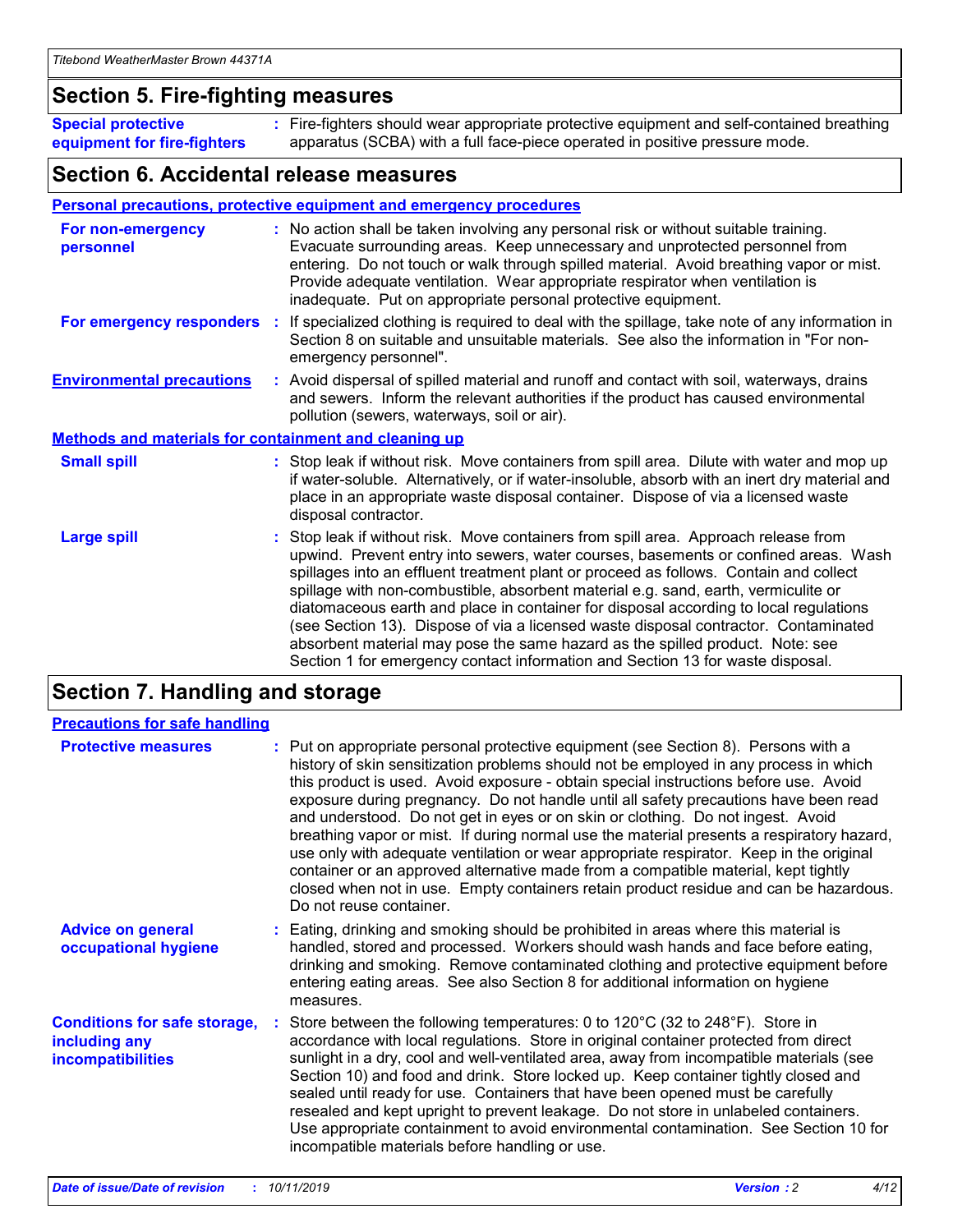### **Section 5. Fire-fighting measures**

**Special protective equipment for fire-fighters** Fire-fighters should wear appropriate protective equipment and self-contained breathing **:** apparatus (SCBA) with a full face-piece operated in positive pressure mode.

### **Section 6. Accidental release measures**

#### **Personal precautions, protective equipment and emergency procedures**

| For non-emergency<br>personnel                               | : No action shall be taken involving any personal risk or without suitable training.<br>Evacuate surrounding areas. Keep unnecessary and unprotected personnel from<br>entering. Do not touch or walk through spilled material. Avoid breathing vapor or mist.<br>Provide adequate ventilation. Wear appropriate respirator when ventilation is<br>inadequate. Put on appropriate personal protective equipment.                                                                                                                                                                                                                                                                                             |
|--------------------------------------------------------------|--------------------------------------------------------------------------------------------------------------------------------------------------------------------------------------------------------------------------------------------------------------------------------------------------------------------------------------------------------------------------------------------------------------------------------------------------------------------------------------------------------------------------------------------------------------------------------------------------------------------------------------------------------------------------------------------------------------|
| For emergency responders                                     | : If specialized clothing is required to deal with the spillage, take note of any information in<br>Section 8 on suitable and unsuitable materials. See also the information in "For non-<br>emergency personnel".                                                                                                                                                                                                                                                                                                                                                                                                                                                                                           |
| <b>Environmental precautions</b>                             | : Avoid dispersal of spilled material and runoff and contact with soil, waterways, drains<br>and sewers. Inform the relevant authorities if the product has caused environmental<br>pollution (sewers, waterways, soil or air).                                                                                                                                                                                                                                                                                                                                                                                                                                                                              |
| <b>Methods and materials for containment and cleaning up</b> |                                                                                                                                                                                                                                                                                                                                                                                                                                                                                                                                                                                                                                                                                                              |
| <b>Small spill</b>                                           | : Stop leak if without risk. Move containers from spill area. Dilute with water and mop up<br>if water-soluble. Alternatively, or if water-insoluble, absorb with an inert dry material and<br>place in an appropriate waste disposal container. Dispose of via a licensed waste<br>disposal contractor.                                                                                                                                                                                                                                                                                                                                                                                                     |
| <b>Large spill</b>                                           | : Stop leak if without risk. Move containers from spill area. Approach release from<br>upwind. Prevent entry into sewers, water courses, basements or confined areas. Wash<br>spillages into an effluent treatment plant or proceed as follows. Contain and collect<br>spillage with non-combustible, absorbent material e.g. sand, earth, vermiculite or<br>diatomaceous earth and place in container for disposal according to local regulations<br>(see Section 13). Dispose of via a licensed waste disposal contractor. Contaminated<br>absorbent material may pose the same hazard as the spilled product. Note: see<br>Section 1 for emergency contact information and Section 13 for waste disposal. |

### **Section 7. Handling and storage**

| <b>Precautions for safe handling</b>                                             |                                                                                                                                                                                                                                                                                                                                                                                                                                                                                                                                                                                                                                                                                                                                                                                                                                                  |
|----------------------------------------------------------------------------------|--------------------------------------------------------------------------------------------------------------------------------------------------------------------------------------------------------------------------------------------------------------------------------------------------------------------------------------------------------------------------------------------------------------------------------------------------------------------------------------------------------------------------------------------------------------------------------------------------------------------------------------------------------------------------------------------------------------------------------------------------------------------------------------------------------------------------------------------------|
| <b>Protective measures</b>                                                       | : Put on appropriate personal protective equipment (see Section 8). Persons with a<br>history of skin sensitization problems should not be employed in any process in which<br>this product is used. Avoid exposure - obtain special instructions before use. Avoid<br>exposure during pregnancy. Do not handle until all safety precautions have been read<br>and understood. Do not get in eyes or on skin or clothing. Do not ingest. Avoid<br>breathing vapor or mist. If during normal use the material presents a respiratory hazard,<br>use only with adequate ventilation or wear appropriate respirator. Keep in the original<br>container or an approved alternative made from a compatible material, kept tightly<br>closed when not in use. Empty containers retain product residue and can be hazardous.<br>Do not reuse container. |
| <b>Advice on general</b><br>occupational hygiene                                 | : Eating, drinking and smoking should be prohibited in areas where this material is<br>handled, stored and processed. Workers should wash hands and face before eating,<br>drinking and smoking. Remove contaminated clothing and protective equipment before<br>entering eating areas. See also Section 8 for additional information on hygiene<br>measures.                                                                                                                                                                                                                                                                                                                                                                                                                                                                                    |
| <b>Conditions for safe storage,</b><br>including any<br><b>incompatibilities</b> | : Store between the following temperatures: 0 to 120 $\degree$ C (32 to 248 $\degree$ F). Store in<br>accordance with local regulations. Store in original container protected from direct<br>sunlight in a dry, cool and well-ventilated area, away from incompatible materials (see<br>Section 10) and food and drink. Store locked up. Keep container tightly closed and<br>sealed until ready for use. Containers that have been opened must be carefully<br>resealed and kept upright to prevent leakage. Do not store in unlabeled containers.<br>Use appropriate containment to avoid environmental contamination. See Section 10 for<br>incompatible materials before handling or use.                                                                                                                                                   |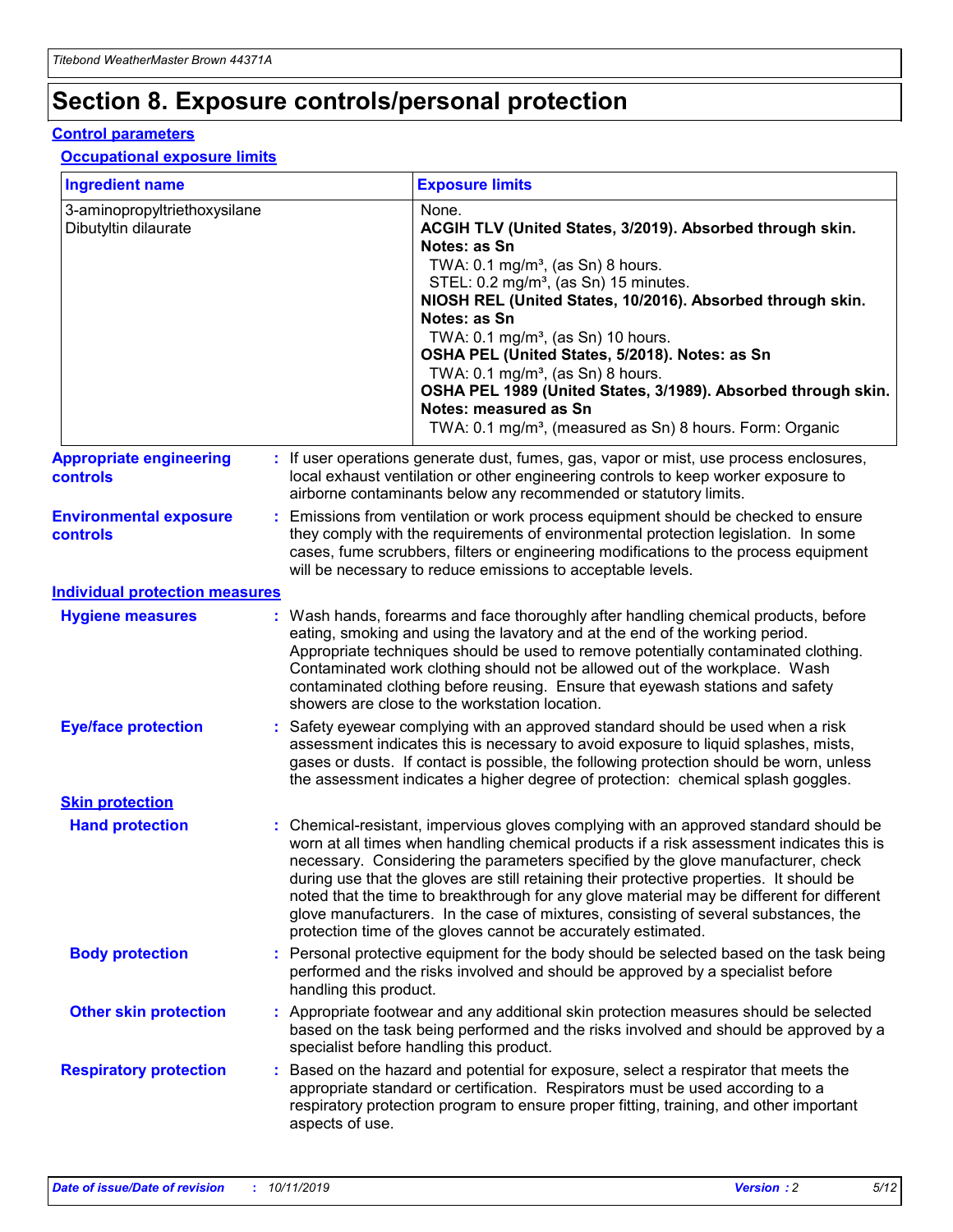## **Section 8. Exposure controls/personal protection**

#### **Control parameters**

#### **Occupational exposure limits**

| <b>Ingredient name</b>                               |                        | <b>Exposure limits</b>                                                                                                                                                                                                                                                                                                                                                                                                                                                                                                                                                                                                 |
|------------------------------------------------------|------------------------|------------------------------------------------------------------------------------------------------------------------------------------------------------------------------------------------------------------------------------------------------------------------------------------------------------------------------------------------------------------------------------------------------------------------------------------------------------------------------------------------------------------------------------------------------------------------------------------------------------------------|
| 3-aminopropyltriethoxysilane<br>Dibutyltin dilaurate |                        | None.<br>ACGIH TLV (United States, 3/2019). Absorbed through skin.<br>Notes: as Sn<br>TWA: 0.1 mg/m <sup>3</sup> , (as Sn) 8 hours.<br>STEL: 0.2 mg/m <sup>3</sup> , (as Sn) 15 minutes.<br>NIOSH REL (United States, 10/2016). Absorbed through skin.<br>Notes: as Sn<br>TWA: 0.1 mg/m <sup>3</sup> , (as Sn) 10 hours.<br>OSHA PEL (United States, 5/2018). Notes: as Sn<br>TWA: $0.1 \text{ mg/m}^3$ , (as Sn) 8 hours.<br>OSHA PEL 1989 (United States, 3/1989). Absorbed through skin.<br>Notes: measured as Sn<br>TWA: 0.1 mg/m <sup>3</sup> , (measured as Sn) 8 hours. Form: Organic                           |
| <b>Appropriate engineering</b><br><b>controls</b>    |                        | : If user operations generate dust, fumes, gas, vapor or mist, use process enclosures,<br>local exhaust ventilation or other engineering controls to keep worker exposure to<br>airborne contaminants below any recommended or statutory limits.                                                                                                                                                                                                                                                                                                                                                                       |
| <b>Environmental exposure</b><br><b>controls</b>     |                        | Emissions from ventilation or work process equipment should be checked to ensure<br>they comply with the requirements of environmental protection legislation. In some<br>cases, fume scrubbers, filters or engineering modifications to the process equipment<br>will be necessary to reduce emissions to acceptable levels.                                                                                                                                                                                                                                                                                          |
| <b>Individual protection measures</b>                |                        |                                                                                                                                                                                                                                                                                                                                                                                                                                                                                                                                                                                                                        |
| <b>Hygiene measures</b>                              |                        | : Wash hands, forearms and face thoroughly after handling chemical products, before<br>eating, smoking and using the lavatory and at the end of the working period.<br>Appropriate techniques should be used to remove potentially contaminated clothing.<br>Contaminated work clothing should not be allowed out of the workplace. Wash<br>contaminated clothing before reusing. Ensure that eyewash stations and safety<br>showers are close to the workstation location.                                                                                                                                            |
| <b>Eye/face protection</b>                           |                        | : Safety eyewear complying with an approved standard should be used when a risk<br>assessment indicates this is necessary to avoid exposure to liquid splashes, mists,<br>gases or dusts. If contact is possible, the following protection should be worn, unless<br>the assessment indicates a higher degree of protection: chemical splash goggles.                                                                                                                                                                                                                                                                  |
| <b>Skin protection</b>                               |                        |                                                                                                                                                                                                                                                                                                                                                                                                                                                                                                                                                                                                                        |
| <b>Hand protection</b>                               |                        | : Chemical-resistant, impervious gloves complying with an approved standard should be<br>worn at all times when handling chemical products if a risk assessment indicates this is<br>necessary. Considering the parameters specified by the glove manufacturer, check<br>during use that the gloves are still retaining their protective properties. It should be<br>noted that the time to breakthrough for any glove material may be different for different<br>glove manufacturers. In the case of mixtures, consisting of several substances, the<br>protection time of the gloves cannot be accurately estimated. |
| <b>Body protection</b>                               | handling this product. | : Personal protective equipment for the body should be selected based on the task being<br>performed and the risks involved and should be approved by a specialist before                                                                                                                                                                                                                                                                                                                                                                                                                                              |
| <b>Other skin protection</b>                         |                        | : Appropriate footwear and any additional skin protection measures should be selected<br>based on the task being performed and the risks involved and should be approved by a<br>specialist before handling this product.                                                                                                                                                                                                                                                                                                                                                                                              |
| <b>Respiratory protection</b>                        | aspects of use.        | : Based on the hazard and potential for exposure, select a respirator that meets the<br>appropriate standard or certification. Respirators must be used according to a<br>respiratory protection program to ensure proper fitting, training, and other important                                                                                                                                                                                                                                                                                                                                                       |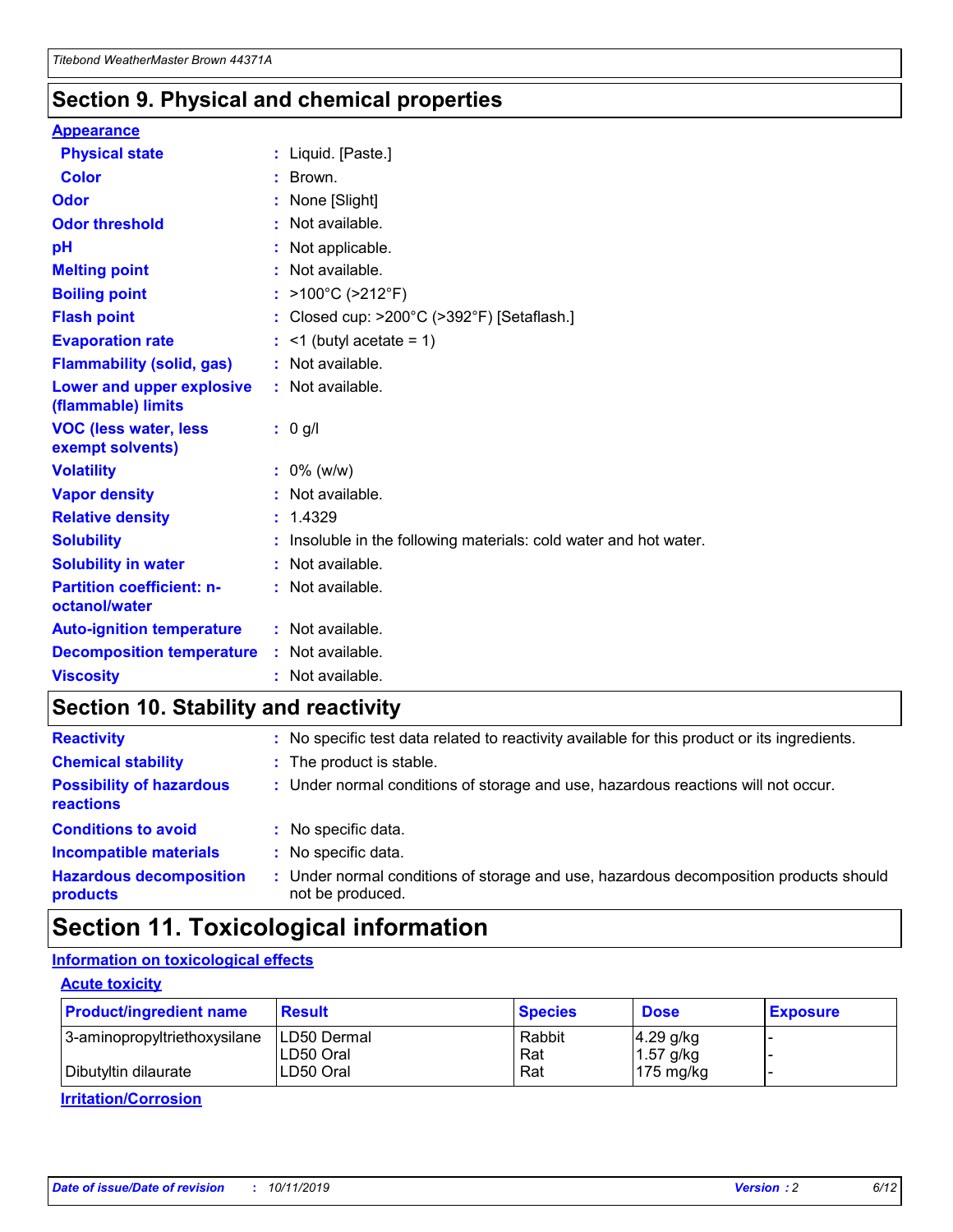### **Section 9. Physical and chemical properties**

#### **Appearance**

| <b>Physical state</b>                             | : Liquid. [Paste.]                                                |
|---------------------------------------------------|-------------------------------------------------------------------|
| <b>Color</b>                                      | : Brown.                                                          |
| Odor                                              | : None [Slight]                                                   |
| <b>Odor threshold</b>                             | : Not available.                                                  |
| рH                                                | : Not applicable.                                                 |
| <b>Melting point</b>                              | : Not available.                                                  |
| <b>Boiling point</b>                              | : >100°C (>212°F)                                                 |
| <b>Flash point</b>                                | : Closed cup: >200°C (>392°F) [Setaflash.]                        |
| <b>Evaporation rate</b>                           | $:$ <1 (butyl acetate = 1)                                        |
| <b>Flammability (solid, gas)</b>                  | : Not available.                                                  |
| Lower and upper explosive<br>(flammable) limits   | : Not available.                                                  |
| <b>VOC (less water, less</b><br>exempt solvents)  | : 0 g/l                                                           |
| <b>Volatility</b>                                 | $: 0\%$ (w/w)                                                     |
| <b>Vapor density</b>                              | : Not available.                                                  |
| <b>Relative density</b>                           | : 1.4329                                                          |
| <b>Solubility</b>                                 | : Insoluble in the following materials: cold water and hot water. |
| <b>Solubility in water</b>                        | : Not available.                                                  |
| <b>Partition coefficient: n-</b><br>octanol/water | $:$ Not available.                                                |
| <b>Auto-ignition temperature</b>                  | : Not available.                                                  |
| <b>Decomposition temperature</b>                  | : Not available.                                                  |
| <b>Viscosity</b>                                  | : Not available.                                                  |

### **Section 10. Stability and reactivity**

| <b>Reactivity</b>                            | : No specific test data related to reactivity available for this product or its ingredients.            |
|----------------------------------------------|---------------------------------------------------------------------------------------------------------|
| <b>Chemical stability</b>                    | : The product is stable.                                                                                |
| <b>Possibility of hazardous</b><br>reactions | : Under normal conditions of storage and use, hazardous reactions will not occur.                       |
| <b>Conditions to avoid</b>                   | : No specific data.                                                                                     |
| <b>Incompatible materials</b>                | : No specific data.                                                                                     |
| <b>Hazardous decomposition</b><br>products   | Under normal conditions of storage and use, hazardous decomposition products should<br>not be produced. |

## **Section 11. Toxicological information**

### **Information on toxicological effects**

#### **Acute toxicity**

| <b>Product/ingredient name</b> | <b>Result</b> | <b>Species</b> | <b>Dose</b>         | <b>Exposure</b> |
|--------------------------------|---------------|----------------|---------------------|-----------------|
| 3-aminopropyltriethoxysilane   | ILD50 Dermal  | Rabbit         | $4.29$ g/kg         |                 |
|                                | ILD50 Oral    | Rat            | $1.57$ g/kg         |                 |
| Dibutyltin dilaurate           | LD50 Oral     | Rat            | $175 \text{ mg/kg}$ |                 |

**Irritation/Corrosion**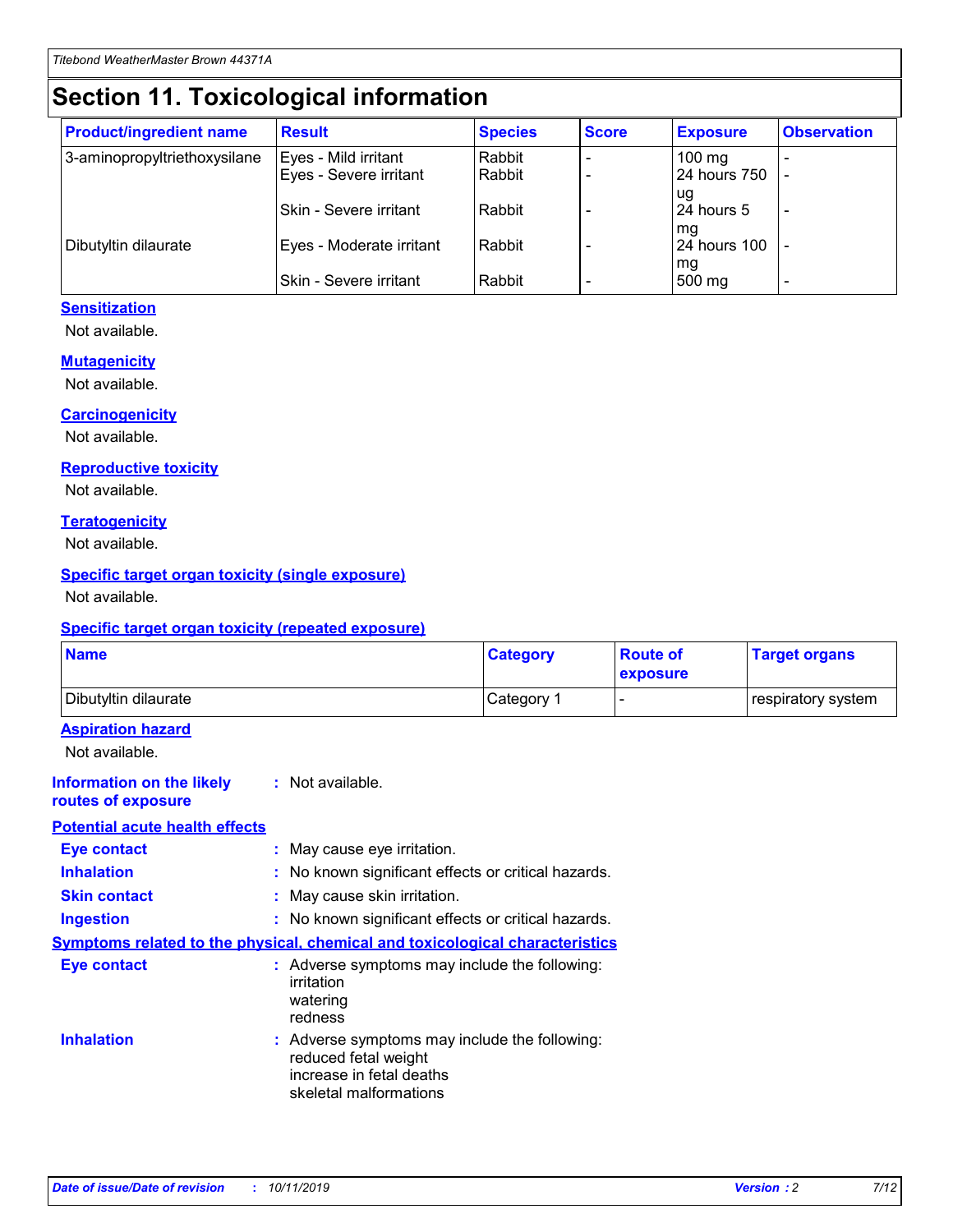## **Section 11. Toxicological information**

| <b>Product/ingredient name</b> | <b>Result</b>            | <b>Species</b> | <b>Score</b> | <b>Exposure</b>           | <b>Observation</b> |
|--------------------------------|--------------------------|----------------|--------------|---------------------------|--------------------|
| 3-aminopropyltriethoxysilane   | Eyes - Mild irritant     | Rabbit         |              | $100$ mg                  |                    |
|                                | Eyes - Severe irritant   | Rabbit         |              | 24 hours 750              |                    |
|                                |                          |                |              | ug                        |                    |
|                                | Skin - Severe irritant   | Rabbit         |              | 24 hours 5                | -                  |
| Dibutyltin dilaurate           | Eyes - Moderate irritant | Rabbit         |              | mq<br><b>24 hours 100</b> |                    |
|                                |                          |                |              | mg                        |                    |
|                                | Skin - Severe irritant   | Rabbit         |              | 500 mg                    |                    |

#### **Sensitization**

Not available.

#### **Mutagenicity**

Not available.

#### **Carcinogenicity**

Not available.

#### **Reproductive toxicity**

Not available.

#### **Teratogenicity**

Not available.

#### **Specific target organ toxicity (single exposure)**

Not available.

#### **Specific target organ toxicity (repeated exposure)**

| <b>Name</b>                                                                  |                                                                                                                             | <b>Category</b> | <b>Route of</b><br>exposure | <b>Target organs</b> |
|------------------------------------------------------------------------------|-----------------------------------------------------------------------------------------------------------------------------|-----------------|-----------------------------|----------------------|
| Dibutyltin dilaurate                                                         |                                                                                                                             | Category 1      | $\overline{\phantom{0}}$    | respiratory system   |
| <b>Aspiration hazard</b><br>Not available.                                   |                                                                                                                             |                 |                             |                      |
| <b>Information on the likely</b><br>routes of exposure                       | : Not available.                                                                                                            |                 |                             |                      |
| <b>Potential acute health effects</b>                                        |                                                                                                                             |                 |                             |                      |
| <b>Eye contact</b>                                                           | : May cause eye irritation.                                                                                                 |                 |                             |                      |
| <b>Inhalation</b>                                                            | : No known significant effects or critical hazards.                                                                         |                 |                             |                      |
| <b>Skin contact</b>                                                          | : May cause skin irritation.                                                                                                |                 |                             |                      |
| <b>Ingestion</b>                                                             | : No known significant effects or critical hazards.                                                                         |                 |                             |                      |
| Symptoms related to the physical, chemical and toxicological characteristics |                                                                                                                             |                 |                             |                      |
| <b>Eye contact</b>                                                           | : Adverse symptoms may include the following:<br>irritation<br>watering<br>redness                                          |                 |                             |                      |
| <b>Inhalation</b>                                                            | : Adverse symptoms may include the following:<br>reduced fetal weight<br>increase in fetal deaths<br>skeletal malformations |                 |                             |                      |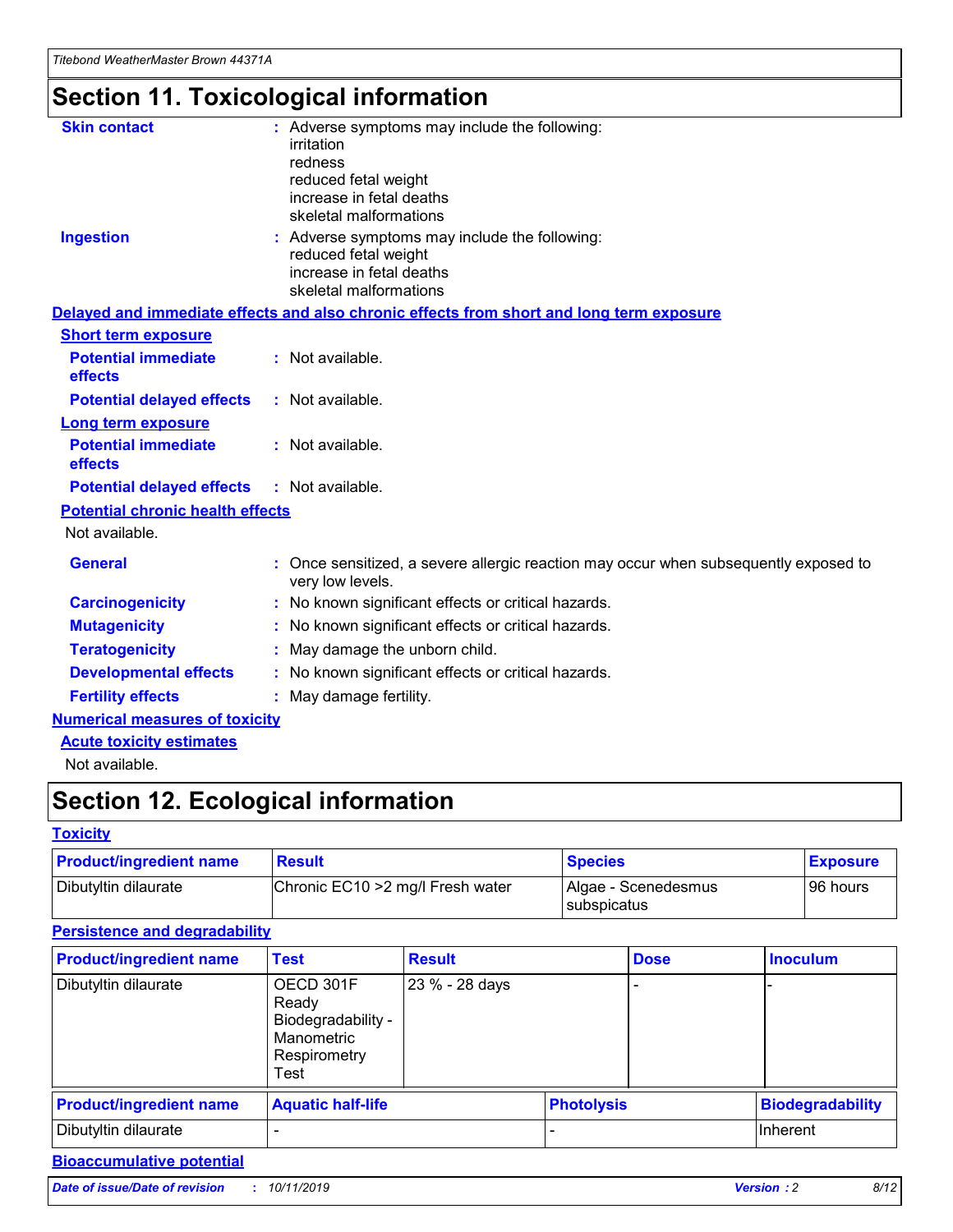# **Section 11. Toxicological information**

| <b>Skin contact</b>                     | : Adverse symptoms may include the following:                                                          |
|-----------------------------------------|--------------------------------------------------------------------------------------------------------|
|                                         | irritation<br>redness                                                                                  |
|                                         | reduced fetal weight                                                                                   |
|                                         | increase in fetal deaths                                                                               |
|                                         | skeletal malformations                                                                                 |
| <b>Ingestion</b>                        | : Adverse symptoms may include the following:                                                          |
|                                         | reduced fetal weight<br>increase in fetal deaths                                                       |
|                                         | skeletal malformations                                                                                 |
|                                         | Delayed and immediate effects and also chronic effects from short and long term exposure               |
| <b>Short term exposure</b>              |                                                                                                        |
| <b>Potential immediate</b>              | : Not available.                                                                                       |
| effects                                 |                                                                                                        |
| <b>Potential delayed effects</b>        | : Not available.                                                                                       |
| <b>Long term exposure</b>               |                                                                                                        |
| <b>Potential immediate</b>              | : Not available.                                                                                       |
| effects                                 |                                                                                                        |
| <b>Potential delayed effects</b>        | : Not available.                                                                                       |
| <b>Potential chronic health effects</b> |                                                                                                        |
| Not available.                          |                                                                                                        |
| <b>General</b>                          | Once sensitized, a severe allergic reaction may occur when subsequently exposed to<br>very low levels. |
| <b>Carcinogenicity</b>                  | : No known significant effects or critical hazards.                                                    |
| <b>Mutagenicity</b>                     | No known significant effects or critical hazards.                                                      |
| <b>Teratogenicity</b>                   | May damage the unborn child.                                                                           |
| <b>Developmental effects</b>            | : No known significant effects or critical hazards.                                                    |
| <b>Fertility effects</b>                | May damage fertility.                                                                                  |
| <b>Numerical measures of toxicity</b>   |                                                                                                        |
| <b>Acute toxicity estimates</b>         |                                                                                                        |
| المسابق المستنقذ والمستنبذ والمستنب     |                                                                                                        |

Not available.

## **Section 12. Ecological information**

#### **Toxicity**

| <b>Product/ingredient name</b> | <b>Result</b>                     | <b>Species</b>                       | <b>Exposure</b> |
|--------------------------------|-----------------------------------|--------------------------------------|-----------------|
| Dibutyltin dilaurate           | Chronic EC10 > 2 mg/l Fresh water | Algae - Scenedesmus<br>I subspicatus | l 96 hours i    |

### **Persistence and degradability**

| <b>Product/ingredient name</b> | <b>Test</b>                                                                    | <b>Result</b>  |                   | <b>Dose</b> | <b>Inoculum</b>         |
|--------------------------------|--------------------------------------------------------------------------------|----------------|-------------------|-------------|-------------------------|
| Dibutyltin dilaurate           | OECD 301F<br>Ready<br>Biodegradability -<br>Manometric<br>Respirometry<br>Test | 23 % - 28 days |                   |             |                         |
| <b>Product/ingredient name</b> | <b>Aquatic half-life</b>                                                       |                | <b>Photolysis</b> |             | <b>Biodegradability</b> |
| Dibutyltin dilaurate           |                                                                                |                |                   |             | Inherent                |

### **Bioaccumulative potential**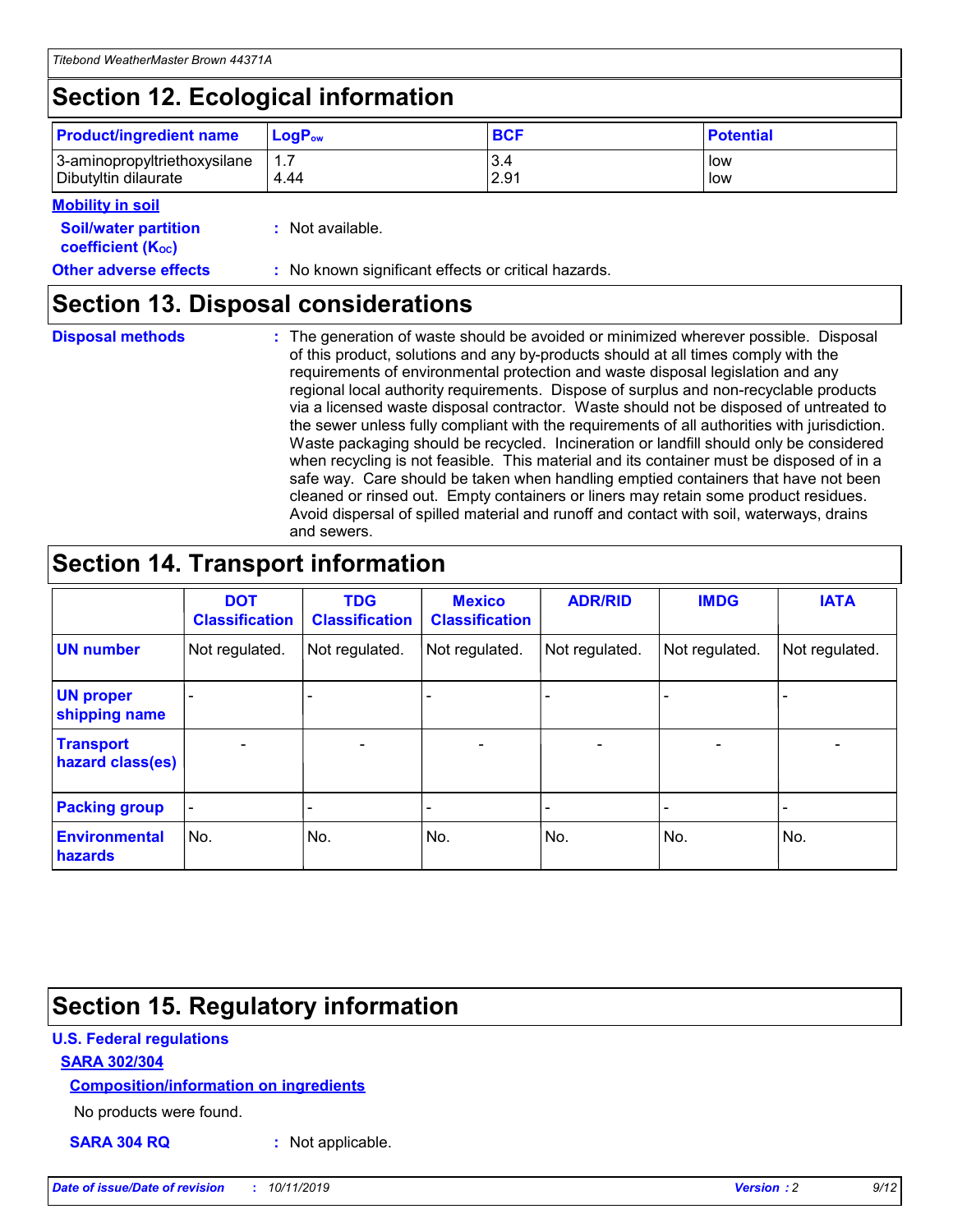# **Section 12. Ecological information**

| <b>Product/ingredient name</b> | $LoaPow$ | <b>BCF</b> | <b>Potential</b> |
|--------------------------------|----------|------------|------------------|
| 3-aminopropyltriethoxysilane   | 4.44     | 3.4        | low              |
| Dibutyltin dilaurate           |          | 2.91       | low              |

#### **Mobility in soil**

| <b>Soil/water partition</b><br>coefficient (K <sub>oc</sub> ) | : Not available.                                    |
|---------------------------------------------------------------|-----------------------------------------------------|
| <b>Other adverse effects</b>                                  | : No known significant effects or critical hazards. |

### **Section 13. Disposal considerations**

**Disposal methods :**

The generation of waste should be avoided or minimized wherever possible. Disposal of this product, solutions and any by-products should at all times comply with the requirements of environmental protection and waste disposal legislation and any regional local authority requirements. Dispose of surplus and non-recyclable products via a licensed waste disposal contractor. Waste should not be disposed of untreated to the sewer unless fully compliant with the requirements of all authorities with jurisdiction. Waste packaging should be recycled. Incineration or landfill should only be considered when recycling is not feasible. This material and its container must be disposed of in a safe way. Care should be taken when handling emptied containers that have not been cleaned or rinsed out. Empty containers or liners may retain some product residues. Avoid dispersal of spilled material and runoff and contact with soil, waterways, drains and sewers.

## **Section 14. Transport information**

|                                      | <b>DOT</b><br><b>Classification</b> | <b>TDG</b><br><b>Classification</b> | <b>Mexico</b><br><b>Classification</b> | <b>ADR/RID</b>               | <b>IMDG</b>    | <b>IATA</b>              |
|--------------------------------------|-------------------------------------|-------------------------------------|----------------------------------------|------------------------------|----------------|--------------------------|
| <b>UN number</b>                     | Not regulated.                      | Not regulated.                      | Not regulated.                         | Not regulated.               | Not regulated. | Not regulated.           |
| <b>UN proper</b><br>shipping name    |                                     |                                     |                                        |                              |                |                          |
| <b>Transport</b><br>hazard class(es) | $\blacksquare$                      | $\overline{\phantom{0}}$            | $\overline{\phantom{a}}$               | $\qquad \qquad \blacksquare$ | $\blacksquare$ | $\overline{\phantom{0}}$ |
| <b>Packing group</b>                 | $\overline{\phantom{a}}$            | -                                   |                                        | -                            |                | -                        |
| <b>Environmental</b><br>hazards      | No.                                 | No.                                 | No.                                    | No.                          | No.            | No.                      |

## **Section 15. Regulatory information**

#### **U.S. Federal regulations**

#### **SARA 302/304**

#### **Composition/information on ingredients**

No products were found.

**SARA 304 RQ :** Not applicable.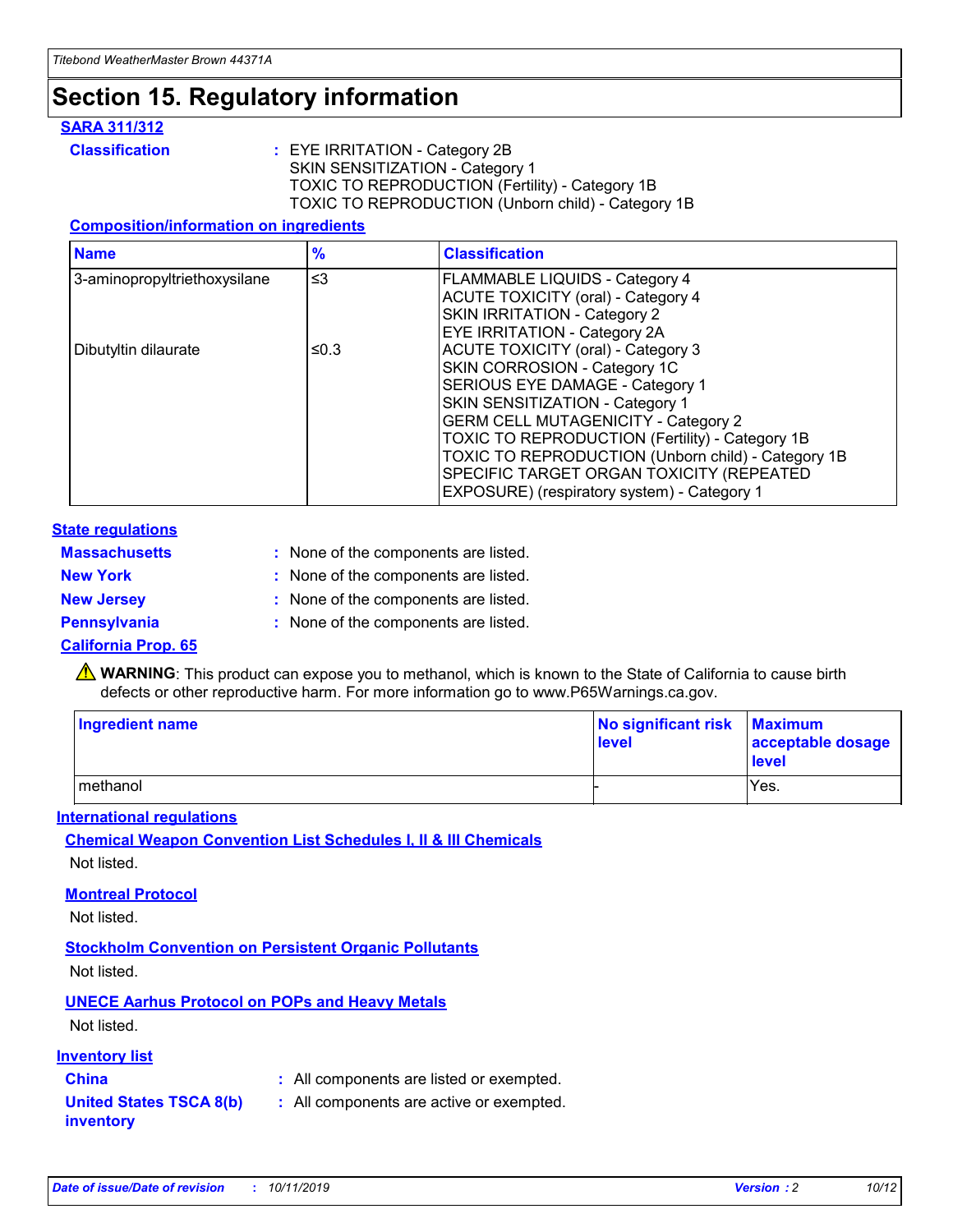## **Section 15. Regulatory information**

#### **SARA 311/312**

**Classification :** EYE IRRITATION - Category 2B SKIN SENSITIZATION - Category 1 TOXIC TO REPRODUCTION (Fertility) - Category 1B TOXIC TO REPRODUCTION (Unborn child) - Category 1B

#### **Composition/information on ingredients**

| <b>Name</b>                  | $\frac{9}{6}$ | <b>Classification</b>                                                                                            |
|------------------------------|---------------|------------------------------------------------------------------------------------------------------------------|
| 3-aminopropyltriethoxysilane | $\leq$ 3      | <b>FLAMMABLE LIQUIDS - Category 4</b><br><b>ACUTE TOXICITY (oral) - Category 4</b>                               |
|                              |               | SKIN IRRITATION - Category 2<br><b>EYE IRRITATION - Category 2A</b>                                              |
| Dibutyltin dilaurate         | ≤0.3          | ACUTE TOXICITY (oral) - Category 3<br>SKIN CORROSION - Category 1C                                               |
|                              |               | SERIOUS EYE DAMAGE - Category 1<br>SKIN SENSITIZATION - Category 1<br><b>GERM CELL MUTAGENICITY - Category 2</b> |
|                              |               | TOXIC TO REPRODUCTION (Fertility) - Category 1B<br>TOXIC TO REPRODUCTION (Unborn child) - Category 1B            |
|                              |               | SPECIFIC TARGET ORGAN TOXICITY (REPEATED<br>EXPOSURE) (respiratory system) - Category 1                          |

#### **State regulations**

| <b>Massachusetts</b> | : None of the components are listed. |
|----------------------|--------------------------------------|
| <b>New York</b>      | : None of the components are listed. |
| <b>New Jersey</b>    | : None of the components are listed. |
| Pennsylvania         | : None of the components are listed. |

#### **California Prop. 65**

**A** WARNING: This product can expose you to methanol, which is known to the State of California to cause birth defects or other reproductive harm. For more information go to www.P65Warnings.ca.gov.

| <b>Ingredient name</b> | No significant risk Maximum<br>level | acceptable dosage<br>level |
|------------------------|--------------------------------------|----------------------------|
| methanol               |                                      | Yes.                       |

#### **International regulations**

**Chemical Weapon Convention List Schedules I, II & III Chemicals** Not listed.

#### **Montreal Protocol**

Not listed.

#### **Stockholm Convention on Persistent Organic Pollutants**

Not listed.

### **UNECE Aarhus Protocol on POPs and Heavy Metals**

Not listed.

#### **Inventory list**

### **China :** All components are listed or exempted.

**United States TSCA 8(b) inventory :** All components are active or exempted.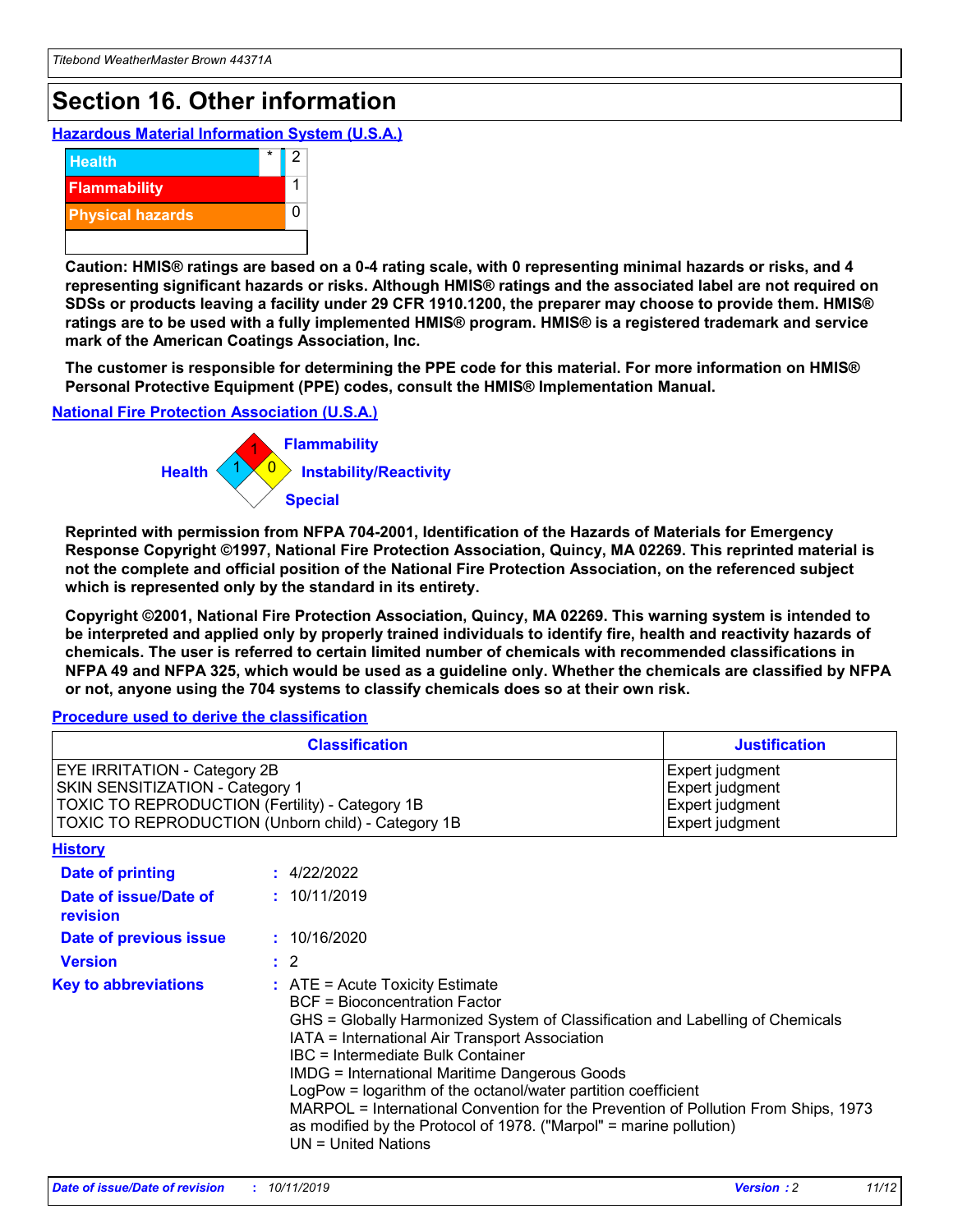## **Section 16. Other information**

**Hazardous Material Information System (U.S.A.)**



**Caution: HMIS® ratings are based on a 0-4 rating scale, with 0 representing minimal hazards or risks, and 4 representing significant hazards or risks. Although HMIS® ratings and the associated label are not required on SDSs or products leaving a facility under 29 CFR 1910.1200, the preparer may choose to provide them. HMIS® ratings are to be used with a fully implemented HMIS® program. HMIS® is a registered trademark and service mark of the American Coatings Association, Inc.**

**The customer is responsible for determining the PPE code for this material. For more information on HMIS® Personal Protective Equipment (PPE) codes, consult the HMIS® Implementation Manual.**

#### **National Fire Protection Association (U.S.A.)**



**Reprinted with permission from NFPA 704-2001, Identification of the Hazards of Materials for Emergency Response Copyright ©1997, National Fire Protection Association, Quincy, MA 02269. This reprinted material is not the complete and official position of the National Fire Protection Association, on the referenced subject which is represented only by the standard in its entirety.**

**Copyright ©2001, National Fire Protection Association, Quincy, MA 02269. This warning system is intended to be interpreted and applied only by properly trained individuals to identify fire, health and reactivity hazards of chemicals. The user is referred to certain limited number of chemicals with recommended classifications in NFPA 49 and NFPA 325, which would be used as a guideline only. Whether the chemicals are classified by NFPA or not, anyone using the 704 systems to classify chemicals does so at their own risk.**

#### **Procedure used to derive the classification**

| <b>Classification</b>                                                                                                                                                                  |                                                                                                                                                                                                                                                                   | <b>Justification</b>                                                                                                                                                                                                                                                                                       |  |
|----------------------------------------------------------------------------------------------------------------------------------------------------------------------------------------|-------------------------------------------------------------------------------------------------------------------------------------------------------------------------------------------------------------------------------------------------------------------|------------------------------------------------------------------------------------------------------------------------------------------------------------------------------------------------------------------------------------------------------------------------------------------------------------|--|
| <b>EYE IRRITATION - Category 2B</b><br>SKIN SENSITIZATION - Category 1<br><b>TOXIC TO REPRODUCTION (Fertility) - Category 1B</b><br>TOXIC TO REPRODUCTION (Unborn child) - Category 1B |                                                                                                                                                                                                                                                                   | Expert judgment<br>Expert judgment<br>Expert judgment<br>Expert judgment                                                                                                                                                                                                                                   |  |
| <b>History</b>                                                                                                                                                                         |                                                                                                                                                                                                                                                                   |                                                                                                                                                                                                                                                                                                            |  |
| <b>Date of printing</b>                                                                                                                                                                | : 4/22/2022                                                                                                                                                                                                                                                       |                                                                                                                                                                                                                                                                                                            |  |
| Date of issue/Date of<br>revision                                                                                                                                                      | : 10/11/2019                                                                                                                                                                                                                                                      |                                                                                                                                                                                                                                                                                                            |  |
| Date of previous issue                                                                                                                                                                 | : 10/16/2020                                                                                                                                                                                                                                                      |                                                                                                                                                                                                                                                                                                            |  |
| <b>Version</b>                                                                                                                                                                         | $\therefore$ 2                                                                                                                                                                                                                                                    |                                                                                                                                                                                                                                                                                                            |  |
| <b>Key to abbreviations</b>                                                                                                                                                            | $\therefore$ ATE = Acute Toxicity Estimate<br><b>BCF</b> = Bioconcentration Factor<br>IATA = International Air Transport Association<br><b>IBC</b> = Intermediate Bulk Container<br><b>IMDG = International Maritime Dangerous Goods</b><br>$UN = United Nations$ | GHS = Globally Harmonized System of Classification and Labelling of Chemicals<br>LogPow = logarithm of the octanol/water partition coefficient<br>MARPOL = International Convention for the Prevention of Pollution From Ships, 1973<br>as modified by the Protocol of 1978. ("Marpol" = marine pollution) |  |